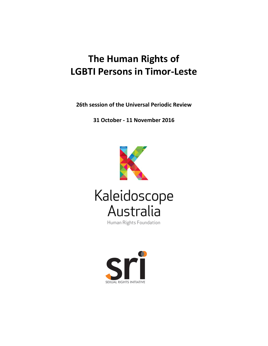# **The Human Rights of LGBTI Persons in Timor-Leste**

**26th session of the Universal Periodic Review**

**31 October - 11 November 2016**





Human Rights Foundation

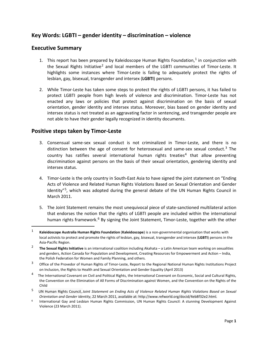## **Key Words: LGBTI – gender identity – discrimination – violence**

## **Executive Summary**

- [1](#page-1-0). This report has been prepared by Kaleidoscope Human Rights Foundation, $1$  in conjunction with the Sexual Rights Initiative<sup>[2](#page-1-1)</sup> and local members of the LGBTI communities of Timor-Leste. It highlights some instances where Timor-Leste is failing to adequately protect the rights of lesbian, gay, bisexual, transgender and intersex (**LGBTI**) persons.
- 2. While Timor-Leste has taken some steps to protect the rights of LGBTI persons, it has failed to protect LGBTI people from high levels of violence and discrimination. Timor-Leste has not enacted any laws or policies that protect against discrimination on the basis of sexual orientation, gender identity and intersex status. Moreover, bias based on gender identity and intersex status is not treated as an aggravating factor in sentencing, and transgender people are not able to have their gender legally recognized in identity documents.

## **Positive steps taken by Timor-Leste**

- 3. Consensual same-sex sexual conduct is not criminalized in Timor-Leste, and there is no distinction between the age of consent for heterosexual and same-sex sexual conduct.<sup>[3](#page-1-2)</sup> The country has ratifies several international human rights treaties<sup>[4](#page-1-3)</sup> that allow preventing discrimination against persons on the basis of their sexual orientation, gendering identity and intersex status.
- 4. Timor-Leste is the only country in South-East Asia to have signed the joint statement on "Ending Acts of Violence and Related Human Rights Violations Based on Sexual Orientation and Gender Identity<sup>"5</sup>, which was adopted during the general debate of the UN Human Rights Council in March 2011.
- 5. The Joint Statement remains the most unequivocal piece of state-sanctioned multilateral action that endorses the notion that the rights of LGBTI people are included within the international human rights framework.<sup>[6](#page-1-5)</sup> By signing the Joint Statement, Timor-Leste, together with the other

<span id="page-1-0"></span> <sup>1</sup> **Kaleidoscope Australia Human Rights Foundation** (**Kaleidoscope**) is a non-governmental organisation that works with local activists to protect and promote the rights of lesbian, gay, bisexual, transgender and intersex (**LGBTI**) persons in the Asia-Pacific Region.

<span id="page-1-1"></span><sup>2</sup> **The Sexual Rights Initiative** is an international coalition including Akahata – a Latin American team working on sexualities and genders, Action Canada for Population and Development, Creating Resources for Empowerment and Action – India, the Polish Federation for Women and Family Planning, and others.

<span id="page-1-2"></span><sup>&</sup>lt;sup>3</sup> Office of the Provedor of Human Rights of Timor-Leste, Report to the Regional National Human Rights Institutions Project on Inclusion, the Rights to Health and Sexual Orientation and Gender Equality (April 2013)

<span id="page-1-3"></span><sup>4</sup> The International Covenant on Civil and Political Rights, the International Covenant on Economic, Social and Cultural Rights, the Convention on the Elimination of All Forms of Discrimination against Women, and the Convention on the Rights of the Child

<span id="page-1-4"></span><sup>5</sup> UN Human Rights Council, *Joint Statement on Ending Acts of Violence Related Human Rights Violations Based on Sexual Orientation and Gender Identity*, 22 March 2011, available at: http://www.refworld.org/docid/4eb8f32e2.html.

<span id="page-1-5"></span>International Gay and Lesbian Human Rights Commission, UN Human Rights Council: A stunning Development Against Violence (23 March 2011).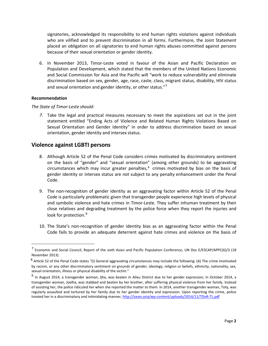signatories, acknowledged its responsibility to end human rights violations against individuals who are vilified and to prevent discrimination in all forms. Furthermore, the Joint Statement placed an obligation on all signatories to end human rights abuses committed against persons because of their sexual orientation or gender identity.

6. In November 2013, Timor-Leste voted in favour of the Asian and Pacific Declaration on Population and Development, which stated that the members of the United Nations Economic and Social Commission for Asia and the Pacific will "work to reduce vulnerability and eliminate discrimination based on sex, gender, age, race, caste, class, migrant status, disability, HIV status and sexual orientation and gender identity, or other status."<sup>[7](#page-2-0)</sup>

## **Recommendation**

 $\overline{a}$ 

#### *The State of Timor-Leste should:*

*7.* Take the legal and practical measures necessary to meet the aspirations set out in the joint statement entitled "Ending Acts of Violence and Related Human Rights Violations Based on Sexual Orientation and Gender Identity" in order to address discrimination based on sexual orientation, gender identity and intersex status.

## **Violence against LGBTI persons**

- 8. Although Article 52 of the Penal Code considers crimes motivated by discriminatory sentiment on the basis of "gender" and "sexual orientation" (among other grounds) to be aggravating circumstances which may incur greater penalties, $8$  crimes motivated by bias on the basis of gender identity or intersex status are not subject to any penalty enhancement under the Penal Code.
- 9. The non-recognition of gender identity as an aggravating factor within Article 52 of the Penal Code is particularly problematic given that transgender people experience high levels of physical and symbolic violence and hate crimes in Timor-Leste. They suffer inhuman treatment by their close relatives and degrading treatment by the police force when they report the injuries and look for protection.<sup>[9](#page-2-2)</sup>
- 10. The State's non-recognition of gender identity bias as an aggravating factor within the Penal Code fails to provide an adequate deterrent against hate crimes and violence on the basis of

<span id="page-2-0"></span><sup>7</sup> Economic and Social Council, Report of the sixth Asian and Pacific Population Conference, UN Doc E/ESCAP/APPC(6)/3 (18 November 2013).

<span id="page-2-1"></span><sup>&</sup>lt;sup>8</sup> Article 52 of the Penal Code states "(i) General aggravating circumstances may include the following: (A) The crime imotivated by racism, or any other discriminatory sentiment on grounds of gender, ideology, religion or beliefs, ethnicity, nationality, sex, sexual orientation, illness or physical disability of the victim."

<span id="page-2-2"></span><sup>&</sup>lt;sup>9</sup> In August 2014, a transgender woman, Ijha, was beaten in Aileu District due to her gender expression; In October 2014, a transgender woman, Joelha, was stabbed and beaten by her brother, after suffering physical violence from her family. Instead of assisting her, the police ridiculed her when she reported the matter to them. In 2014, another transgender woman, Toty, was regularly assaulted and tortured by her family due to her gender identity and expression. Upon reporting the crime, police treated her in a discriminatory and intimidating manner[, http://isean.asia/wp-content/uploads/2014/11/TDoR-TL.pdf](http://isean.asia/wp-content/uploads/2014/11/TDoR-TL.pdf)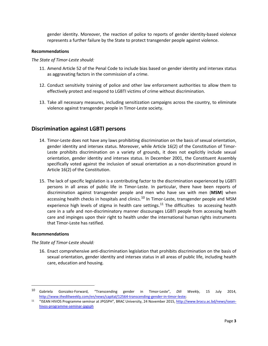gender identity. Moreover, the reaction of police to reports of gender identity-based violence represents a further failure by the State to protect transgender people against violence.

#### **Recommendations**

*The State of Timor-Leste should:*

- 11. Amend Article 52 of the Penal Code to include bias based on gender identity and intersex status as aggravating factors in the commission of a crime.
- 12. Conduct sensitivity training of police and other law enforcement authorities to allow them to effectively protect and respond to LGBTI victims of crime without discrimination.
- 13. Take all necessary measures, including sensitization campaigns across the country, to eliminate violence against transgender people in Timor-Leste society.

## **Discrimination against LGBTI persons**

- 14. Timor-Leste does not have any laws prohibiting discrimination on the basis of sexual orientation, gender identity and intersex status. Moreover, while Article 16(2) of the Constitution of Timor-Leste prohibits discrimination on a variety of grounds, it does not explicitly include sexual orientation, gender identity and intersex status. In December 2001, the Constituent Assembly specifically voted against the inclusion of sexual orientation as a non-discrimination ground in Article 16(2) of the Constitution.
- 15. The lack of specific legislation is a contributing factor to the discrimination experienced by LGBTI persons in all areas of public life in Timor-Leste. In particular, there have been reports of discrimination against transgender people and men who have sex with men (**MSM**) when accessing health checks in hospitals and clinics.<sup>[10](#page-3-0)</sup> In Timor-Leste, transgender people and MSM experience high levels of stigma in health care settings.<sup>[11](#page-3-1)</sup> The difficulties to accessing health care in a safe and non-discriminatory manner discourages LGBTI people from accessing health care and impinges upon their right to health under the international human rights instruments that Timor-Leste has ratified.

#### **Recommendations**

*The State of Timor-Leste should:*

16. Enact comprehensive anti-discrimination legislation that prohibits discrimination on the basis of sexual orientation, gender identity and intersex status in all areas of public life, including health care, education and housing.

<span id="page-3-0"></span> <sup>10</sup> Gabriela Gonzalez-Forward, "Transcending gender in Timor-Leste", *Dili Weekly*, 15 July 2014, [http://www.thediliweekly.com/en/news/capital/12564-transcending-gender-in-timor-leste;](http://www.thediliweekly.com/en/news/capital/12564-transcending-gender-in-timor-leste)<br>11 "ISEAN HIVOS Programme seminar at JPGSPH", BRAC University, 24 November 2015, [http://www.bracu.ac.bd/news/isean-](http://www.bracu.ac.bd/news/isean-hivos-programme-seminar-jpgsph)

<span id="page-3-1"></span>[hivos-programme-seminar-jpgsph](http://www.bracu.ac.bd/news/isean-hivos-programme-seminar-jpgsph)